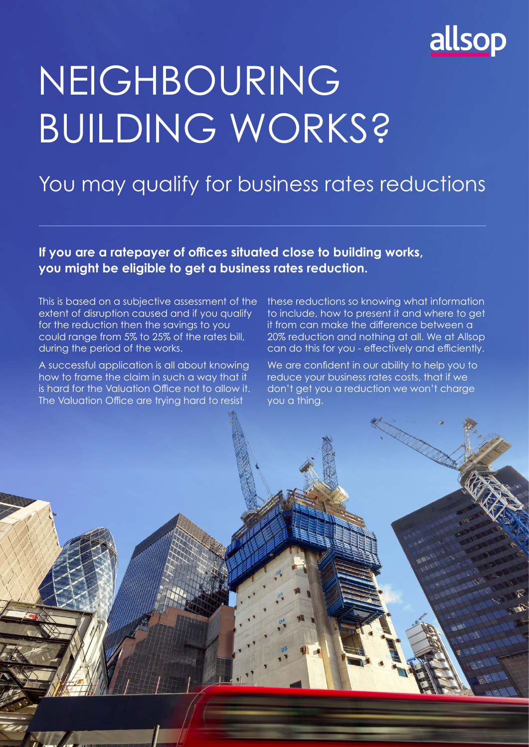

# NEIGHBOURING BUILDING WORKS?

### You may qualify for business rates reductions

**If you are a ratepayer of offices situated close to building works, you might be eligible to get a business rates reduction.**

This is based on a subjective assessment of the extent of disruption caused and if you qualify for the reduction then the savings to you could range from 5% to 25% of the rates bill, during the period of the works.

A successful application is all about knowing how to frame the claim in such a way that it is hard for the Valuation Office not to allow it. The Valuation Office are trying hard to resist

these reductions so knowing what information to include, how to present it and where to get it from can make the difference between a 20% reduction and nothing at all. We at Allsop can do this for you - effectively and efficiently.

We are confident in our ability to help you to reduce your business rates costs, that if we don't get you a reduction we won't charge you a thing.